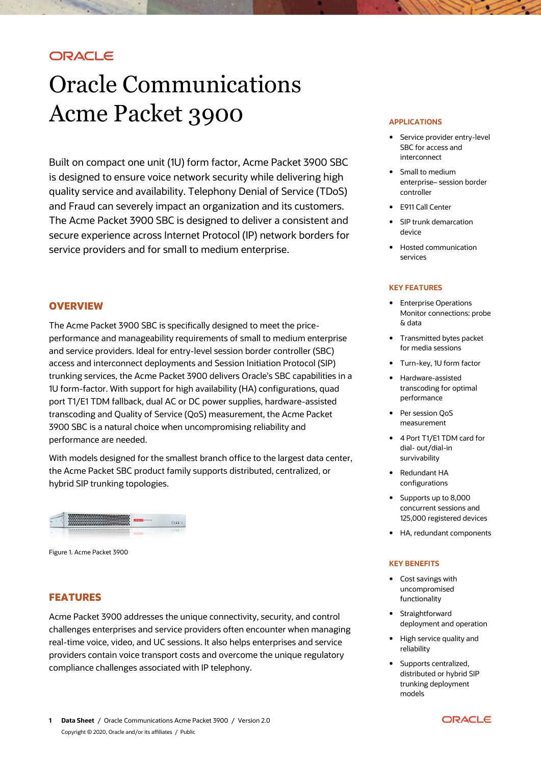# ORACLE

# Oracle Communications Acme Packet 3900

Built on compact one unit (1U) form factor, Acme Packet 3900 SBC is designed to ensure voice network security while delivering high quality service and availability. Telephony Denial of Service (TDoS) and Fraud can severely impact an organization and its customers. The Acme Packet 3900 SBC is designed to deliver a consistent and secure experience across Internet Protocol (IP) network borders for service providers and for small to medium enterprise.

## **OVERVIEW**

The Acme Packet 3900 SBC is specifically designed to meet the priceperformance and manageability requirements of small to medium enterprise and service providers. Ideal for entry-level session border controller (SBC) access and interconnect deployments and Session Initiation Protocol (SIP) trunking services, the Acme Packet 3900 delivers Oracle's SBC capabilities in a 1U form-factor. With support for high availability (HA) configurations, quad port T1/E1 TDM fallback, dual AC or DC power supplies, hardware-assisted transcoding and Quality of Service (QoS) measurement, the Acme Packet 3900 SBC is a natural choice when uncompromising reliability and performance are needed.

With models designed for the smallest branch office to the largest data center, the Acme Packet SBC product family supports distributed, centralized, or hybrid SIP trunking topologies.



Figure 1. Acme Packet 3900

## **FEATURES**

Acme Packet 3900 addresses the unique connectivity, security, and control challenges enterprises and service providers often encounter when managing real-time voice, video, and UC sessions. It also helps enterprises and service providers contain voice transport costs and overcome the unique regulatory compliance challenges associated with IP telephony.

#### **APPLICATIONS**

- Service provider entry-level SBC for access and interconnect
- Small to medium enterprise– session border controller
- E911 Call Center
- SIP trunk demarcation device
- Hosted communication services

#### **KEY FEATURES**

- **•** Enterprise Operations Monitor connections: probe & data
- Transmitted bytes packet for media sessions
- Turn-key, 1U form factor
- Hardware-assisted transcoding for optimal performance
- Per session QoS measurement
- 4 Port T1/E1 TDM card for dial- out/dial-in survivability
- Redundant HA configurations
- Supports up to 8,000 concurrent sessions and 125,000 registered devices
- HA, redundant components

#### **KEY BENEFITS**

- Cost savings with uncompromised functionality
- Straightforward deployment and operation
- High service quality and reliability
- Supports centralized. distributed or hybrid SIP trunking deployment models

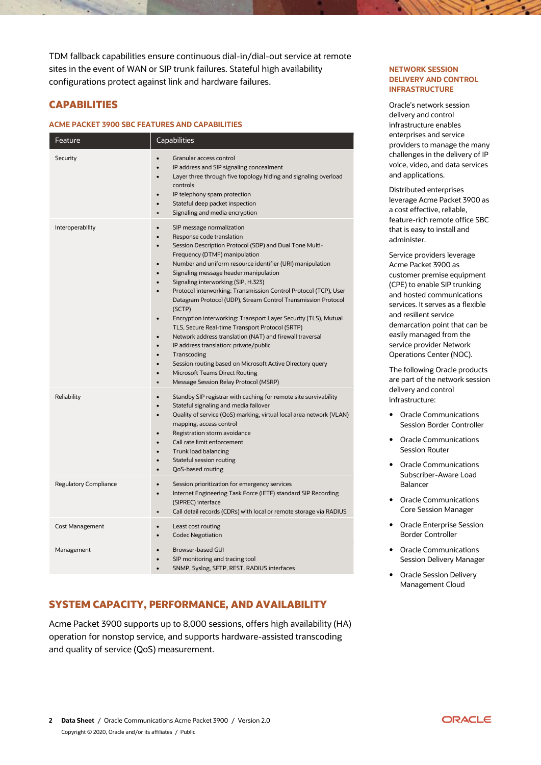TDM fallback capabilities ensure continuous dial-in/dial-out service at remote sites in the event of WAN or SIP trunk failures. Stateful high availability configurations protect against link and hardware failures.

# **CAPABILITIES**

#### **ACME PACKET 3900 SBC FEATURES AND CAPABILITIES**

| Feature               | Capabilities                                                                                                                                                                                                                                                                                                                                                                                                                                                                                                                                                                                                                                                                                                                                                                                                                                                                                                                        |
|-----------------------|-------------------------------------------------------------------------------------------------------------------------------------------------------------------------------------------------------------------------------------------------------------------------------------------------------------------------------------------------------------------------------------------------------------------------------------------------------------------------------------------------------------------------------------------------------------------------------------------------------------------------------------------------------------------------------------------------------------------------------------------------------------------------------------------------------------------------------------------------------------------------------------------------------------------------------------|
| Security              | Granular access control<br>IP address and SIP signaling concealment<br>Layer three through five topology hiding and signaling overload<br>controls<br>IP telephony spam protection<br>$\bullet$<br>Stateful deep packet inspection<br>Signaling and media encryption<br>$\bullet$                                                                                                                                                                                                                                                                                                                                                                                                                                                                                                                                                                                                                                                   |
| Interoperability      | SIP message normalization<br>Response code translation<br>$\bullet$<br>Session Description Protocol (SDP) and Dual Tone Multi-<br>Frequency (DTMF) manipulation<br>Number and uniform resource identifier (URI) manipulation<br>$\bullet$<br>Signaling message header manipulation<br>$\bullet$<br>Signaling interworking (SIP, H.323)<br>Protocol interworking: Transmission Control Protocol (TCP), User<br>Datagram Protocol (UDP), Stream Control Transmission Protocol<br>(SCTP)<br>Encryption interworking: Transport Layer Security (TLS), Mutual<br>$\bullet$<br>TLS, Secure Real-time Transport Protocol (SRTP)<br>Network address translation (NAT) and firewall traversal<br>$\bullet$<br>IP address translation: private/public<br>Transcoding<br>$\bullet$<br>Session routing based on Microsoft Active Directory query<br><b>Microsoft Teams Direct Routing</b><br>Message Session Relay Protocol (MSRP)<br>$\bullet$ |
| Reliability           | Standby SIP registrar with caching for remote site survivability<br>$\bullet$<br>Stateful signaling and media failover<br>$\bullet$<br>Quality of service (QoS) marking, virtual local area network (VLAN)<br>mapping, access control<br>Registration storm avoidance<br>Call rate limit enforcement<br>$\bullet$<br>Trunk load balancing<br>Stateful session routing<br>$\bullet$<br>QoS-based routing<br>$\bullet$                                                                                                                                                                                                                                                                                                                                                                                                                                                                                                                |
| Regulatory Compliance | Session prioritization for emergency services<br>$\bullet$<br>Internet Engineering Task Force (IETF) standard SIP Recording<br>(SIPREC) interface<br>Call detail records (CDRs) with local or remote storage via RADIUS<br>$\bullet$                                                                                                                                                                                                                                                                                                                                                                                                                                                                                                                                                                                                                                                                                                |
| Cost Management       | Least cost routing<br>$\bullet$<br><b>Codec Negotiation</b><br>$\bullet$                                                                                                                                                                                                                                                                                                                                                                                                                                                                                                                                                                                                                                                                                                                                                                                                                                                            |
| Management            | Browser-based GUI<br>SIP monitoring and tracing tool<br>SNMP, Syslog, SFTP, REST, RADIUS interfaces<br>$\bullet$                                                                                                                                                                                                                                                                                                                                                                                                                                                                                                                                                                                                                                                                                                                                                                                                                    |

# **SYSTEM CAPACITY, PERFORMANCE, AND AVAILABILITY**

Acme Packet 3900 supports up to 8,000 sessions, offers high availability (HA) operation for nonstop service, and supports hardware-assisted transcoding and quality of service (QoS) measurement.

#### **NETWORK SESSION DELIVERY AND CONTROL INFRASTRUCTURE**

Oracle's network session delivery and control infrastructure enables enterprises and service providers to manage the many challenges in the delivery of IP voice, video, and data services and applications.

Distributed enterprises leverage Acme Packet 3900 as a cost effective, reliable, feature-rich remote office SBC that is easy to install and administer.

Service providers leverage Acme Packet 3900 as customer premise equipment (CPE) to enable SIP trunking and hosted communications services. It serves as a flexible and resilient service demarcation point that can be easily managed from the service provider Network Operations Center (NOC).

The following Oracle products are part of the network session delivery and control infrastructure:

- Oracle Communications Session Border Controller
- Oracle Communications Session Router
- Oracle Communications Subscriber-Aware Load Balancer
- Oracle Communications Core Session Manager
- Oracle Enterprise Session Border Controller
- Oracle Communications Session Delivery Manager
- Oracle Session Delivery Management Cloud

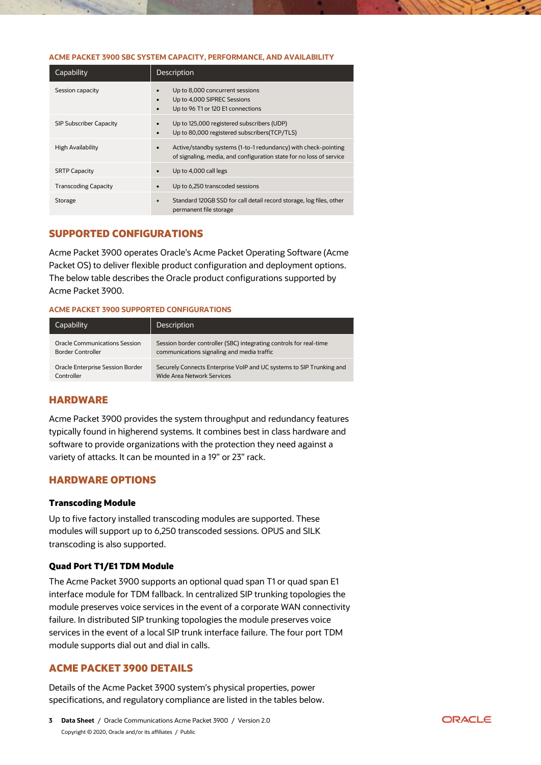#### **ACME PACKET 3900 SBC SYSTEM CAPACITY, PERFORMANCE, AND AVAILABILITY**

| Capability                     | Description                                                                                                                           |
|--------------------------------|---------------------------------------------------------------------------------------------------------------------------------------|
| Session capacity               | Up to 8,000 concurrent sessions<br>Up to 4,000 SIPREC Sessions<br>$\bullet$<br>Up to 96 T1 or 120 E1 connections<br>$\bullet$         |
| <b>SIP Subscriber Capacity</b> | Up to 125,000 registered subscribers (UDP)<br>Up to 80,000 registered subscribers (TCP/TLS)<br>$\bullet$                              |
| <b>High Availability</b>       | Active/standby systems (1-to-1 redundancy) with check-pointing<br>of signaling, media, and configuration state for no loss of service |
| <b>SRTP Capacity</b>           | Up to 4,000 call legs<br>$\bullet$                                                                                                    |
| <b>Transcoding Capacity</b>    | Up to 6,250 transcoded sessions                                                                                                       |
| Storage                        | Standard 120GB SSD for call detail record storage, log files, other<br>$\bullet$<br>permanent file storage                            |

# **SUPPORTED CONFIGURATIONS**

Acme Packet 3900 operates Oracle's Acme Packet Operating Software (Acme Packet OS) to deliver flexible product configuration and deployment options. The below table describes the Oracle product configurations supported by Acme Packet 3900.

#### **ACME PACKET 3900 SUPPORTED CONFIGURATIONS**

| Capability                           | <b>Description</b>                                                   |
|--------------------------------------|----------------------------------------------------------------------|
| <b>Oracle Communications Session</b> | Session border controller (SBC) integrating controls for real-time   |
| Border Controller                    | communications signaling and media traffic                           |
| Oracle Enterprise Session Border     | Securely Connects Enterprise VoIP and UC systems to SIP Trunking and |
| Controller                           | <b>Wide Area Network Services</b>                                    |

## **HARDWARE**

Acme Packet 3900 provides the system throughput and redundancy features typically found in higherend systems. It combines best in class hardware and software to provide organizations with the protection they need against a variety of attacks. It can be mounted in a 19" or 23" rack.

## **HARDWARE OPTIONS**

#### **Transcoding Module**

Up to five factory installed transcoding modules are supported. These modules will support up to 6,250 transcoded sessions. OPUS and SILK transcoding is also supported.

## **Quad Port T1/E1 TDM Module**

The Acme Packet 3900 supports an optional quad span T1 or quad span E1 interface module for TDM fallback. In centralized SIP trunking topologies the module preserves voice services in the event of a corporate WAN connectivity failure. In distributed SIP trunking topologies the module preserves voice services in the event of a local SIP trunk interface failure. The four port TDM module supports dial out and dial in calls.

# **ACME PACKET 3900 DETAILS**

Details of the Acme Packet 3900 system's physical properties, power specifications, and regulatory compliance are listed in the tables below.

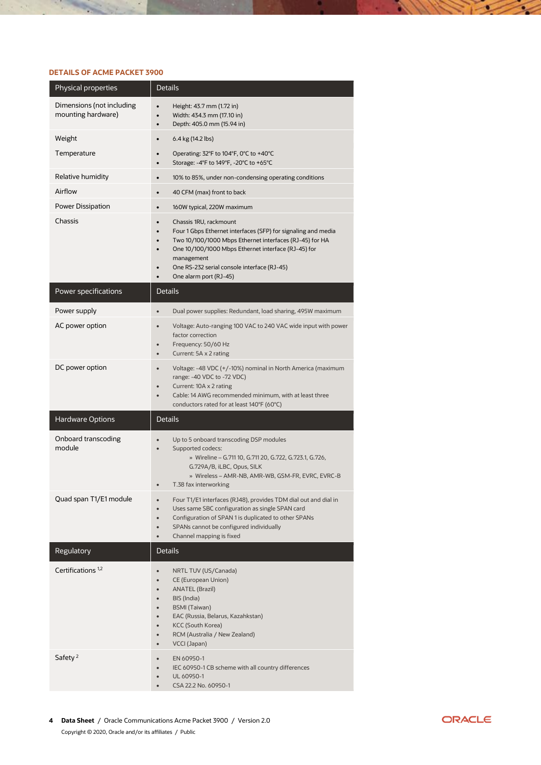## **DETAILS OF ACME PACKET 3900**

| Physical properties                             | <b>Details</b>                                                                                                                                                                                                                                                                                                |
|-------------------------------------------------|---------------------------------------------------------------------------------------------------------------------------------------------------------------------------------------------------------------------------------------------------------------------------------------------------------------|
| Dimensions (not including<br>mounting hardware) | Height: 43.7 mm (1.72 in)<br>$\bullet$<br>Width: 434.3 mm (17.10 in)<br>Depth: 405.0 mm (15.94 in)<br>$\bullet$                                                                                                                                                                                               |
| Weight                                          | 6.4 kg (14.2 lbs)<br>$\bullet$                                                                                                                                                                                                                                                                                |
| Temperature                                     | Operating: 32°F to 104°F, 0°C to +40°C<br>$\bullet$<br>Storage: -4°F to 149°F, -20°C to +65°C<br>$\bullet$                                                                                                                                                                                                    |
| Relative humidity                               | 10% to 85%, under non-condensing operating conditions<br>$\bullet$                                                                                                                                                                                                                                            |
| Airflow                                         | 40 CFM (max) front to back<br>$\bullet$                                                                                                                                                                                                                                                                       |
| Power Dissipation                               | 160W typical, 220W maximum<br>$\bullet$                                                                                                                                                                                                                                                                       |
| Chassis                                         | Chassis 1RU, rackmount<br>$\bullet$<br>Four 1 Gbps Ethernet interfaces (SFP) for signaling and media<br>Two 10/100/1000 Mbps Ethernet interfaces (RJ-45) for HA<br>One 10/100/1000 Mbps Ethernet interface (RJ-45) for<br>management<br>One RS-232 serial console interface (RJ-45)<br>One alarm port (RJ-45) |
| Power specifications                            | <b>Details</b>                                                                                                                                                                                                                                                                                                |
| Power supply                                    | Dual power supplies: Redundant, load sharing, 495W maximum<br>$\bullet$                                                                                                                                                                                                                                       |
| AC power option                                 | Voltage: Auto-ranging 100 VAC to 240 VAC wide input with power<br>$\bullet$<br>factor correction<br>Frequency: 50/60 Hz<br>Current: 5A x 2 rating<br>$\bullet$                                                                                                                                                |
| DC power option                                 | Voltage: -48 VDC (+/-10%) nominal in North America (maximum<br>range: -40 VDC to -72 VDC)<br>Current: 10A x 2 rating<br>Cable: 14 AWG recommended minimum, with at least three<br>conductors rated for at least 140°F (60°C)                                                                                  |
| <b>Hardware Options</b>                         | <b>Details</b>                                                                                                                                                                                                                                                                                                |
| Onboard transcoding<br>module                   | Up to 5 onboard transcoding DSP modules<br>Supported codecs:<br>$\bullet$<br>» Wireline - G.711 10, G.711 20, G.722, G.723.1, G.726,<br>G.729A/B, iLBC, Opus, SILK<br>» Wireless - AMR-NB, AMR-WB, GSM-FR, EVRC, EVRC-B<br>T.38 fax interworking                                                              |
| Quad span T1/E1 module                          | Four T1/E1 interfaces (RJ48), provides TDM dial out and dial in<br>$\bullet$<br>Uses same SBC configuration as single SPAN card<br>$\bullet$<br>Configuration of SPAN 1 is duplicated to other SPANs<br>$\bullet$<br>SPANs cannot be configured individually<br>Channel mapping is fixed<br>$\bullet$         |
| Regulatory                                      | <b>Details</b>                                                                                                                                                                                                                                                                                                |
| Certifications <sup>1,2</sup>                   | NRTL TUV (US/Canada)<br><b>CE (European Union)</b><br><b>ANATEL (Brazil)</b><br>BIS (India)<br><b>BSMI (Taiwan)</b><br>EAC (Russia, Belarus, Kazahkstan)<br><b>KCC (South Korea)</b><br>RCM (Australia / New Zealand)<br>VCCI (Japan)<br>$\bullet$                                                            |
| Safety <sup>2</sup>                             | EN 60950-1<br>IEC 60950-1 CB scheme with all country differences<br>UL 60950-1<br>CSA 22.2 No. 60950-1<br>$\bullet$                                                                                                                                                                                           |



 $\sim$